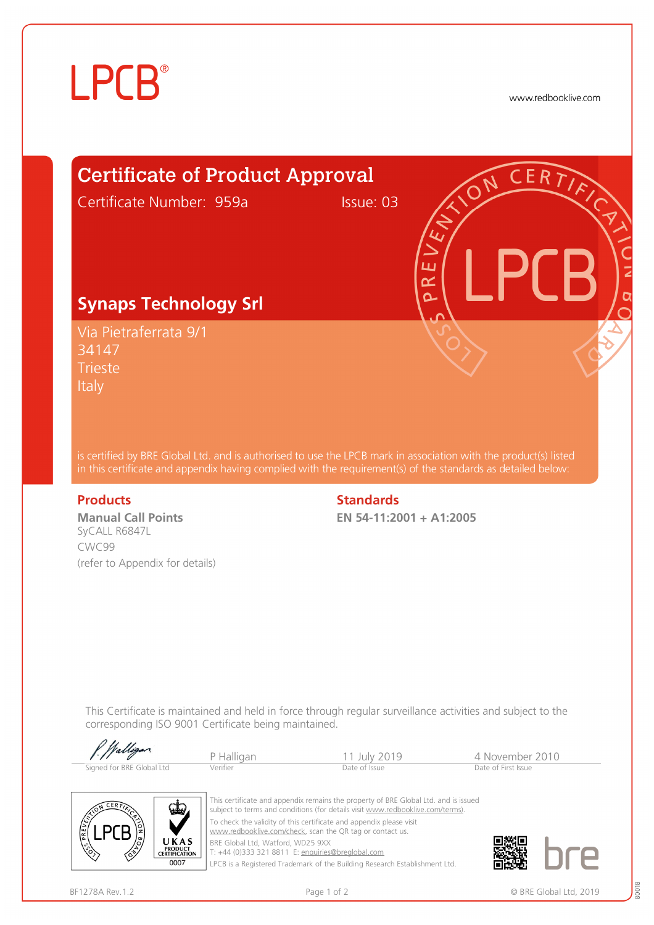# **LPCB**®

www.redbooklive.com

### Certificate of Product Approval

Certificate Number: 959a Issue: 03

### **Synaps Technology Srl**

Via Pietraferrata 9/1 34147 **Trieste** Italy

is certified by BRE Global Ltd. and is authorised to use the LPCB mark in association with the product(s) listed in this certificate and appendix having complied with the requirement(s) of the standards as detailed below:

**Manual Call Points**  SyCALL R6847L CWC99 (refer to Appendix for details)

#### **Products** Standards **Standards**

**EN 54-11:2001 + A1:2005** 

ய œ  $\overline{\Omega}$ 

This Certificate is maintained and held in force through regular surveillance activities and subject to the corresponding ISO 9001 Certificate being maintained.

| f. Walligan               |            |               |                     |
|---------------------------|------------|---------------|---------------------|
|                           | P Halligan | 11 July 2019  | 4 November 2010     |
| Signed for BRE Global Ltd | Verifier   | Date of Issue | Date of First Issue |



This certificate and appendix remains the property of BRE Global Ltd. and is issued subject to terms and conditions (for details visit [www.redbooklive.com/terms\)](http://www.redbooklive.com/terms)). To check the validity of this certificate and appendix please visit [www.redbooklive.com/check,](http://www.redbooklive.com/check) scan the QR tag or contact us. BRE Global Ltd, Watford, WD25 9XX

T: +44 (0)333 321 8811 E: [enquiries@breglobal.com](mailto:enquiries@breglobal.com)

LPCB is a Registered Trademark of the Building Research Establishment Ltd.